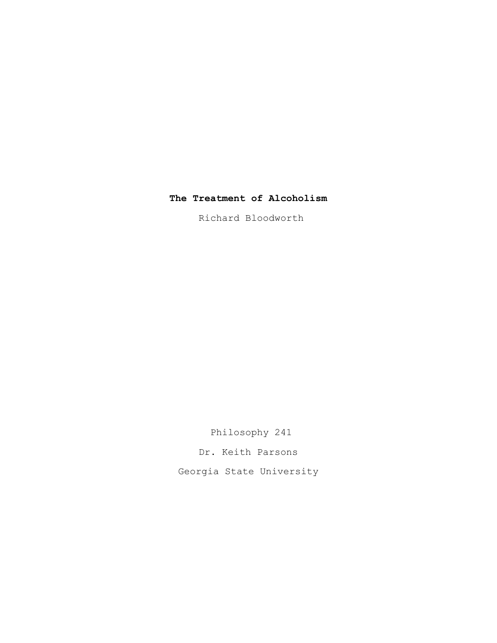## **The Treatment of Alcoholism**

Richard Bloodworth

 Philosophy 241 Dr. Keith Parsons Georgia State University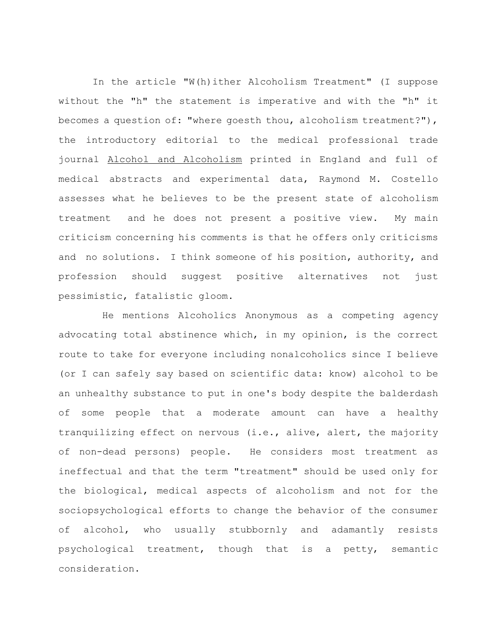In the article "W(h)ither Alcoholism Treatment" (I suppose without the "h" the statement is imperative and with the "h" it becomes a question of: "where goesth thou, alcoholism treatment?"), the introductory editorial to the medical professional trade journal Alcohol and Alcoholism printed in England and full of medical abstracts and experimental data, Raymond M. Costello assesses what he believes to be the present state of alcoholism treatment and he does not present a positive view. My main criticism concerning his comments is that he offers only criticisms and no solutions. I think someone of his position, authority, and profession should suggest positive alternatives not just pessimistic, fatalistic gloom.

 He mentions Alcoholics Anonymous as a competing agency advocating total abstinence which, in my opinion, is the correct route to take for everyone including nonalcoholics since I believe (or I can safely say based on scientific data: know) alcohol to be an unhealthy substance to put in one's body despite the balderdash of some people that a moderate amount can have a healthy tranquilizing effect on nervous (i.e., alive, alert, the majority of non-dead persons) people. He considers most treatment as ineffectual and that the term "treatment" should be used only for the biological, medical aspects of alcoholism and not for the sociopsychological efforts to change the behavior of the consumer of alcohol, who usually stubbornly and adamantly resists psychological treatment, though that is a petty, semantic consideration.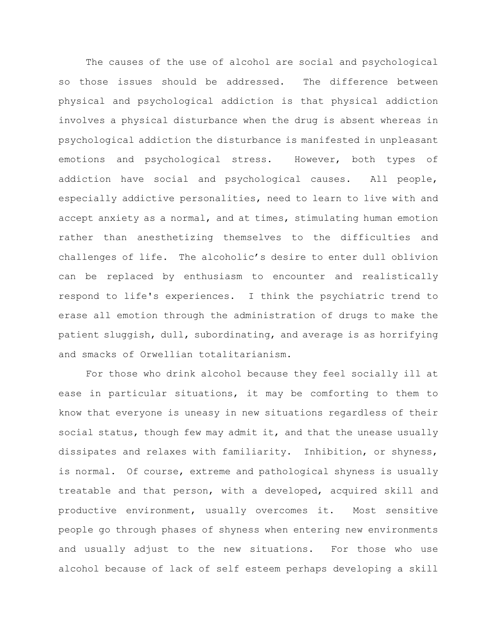The causes of the use of alcohol are social and psychological so those issues should be addressed. The difference between physical and psychological addiction is that physical addiction involves a physical disturbance when the drug is absent whereas in psychological addiction the disturbance is manifested in unpleasant emotions and psychological stress. However, both types of addiction have social and psychological causes. All people, especially addictive personalities, need to learn to live with and accept anxiety as a normal, and at times, stimulating human emotion rather than anesthetizing themselves to the difficulties and challenges of life. The alcoholic's desire to enter dull oblivion can be replaced by enthusiasm to encounter and realistically respond to life's experiences. I think the psychiatric trend to erase all emotion through the administration of drugs to make the patient sluggish, dull, subordinating, and average is as horrifying and smacks of Orwellian totalitarianism.

 For those who drink alcohol because they feel socially ill at ease in particular situations, it may be comforting to them to know that everyone is uneasy in new situations regardless of their social status, though few may admit it, and that the unease usually dissipates and relaxes with familiarity. Inhibition, or shyness, is normal. Of course, extreme and pathological shyness is usually treatable and that person, with a developed, acquired skill and productive environment, usually overcomes it. Most sensitive people go through phases of shyness when entering new environments and usually adjust to the new situations. For those who use alcohol because of lack of self esteem perhaps developing a skill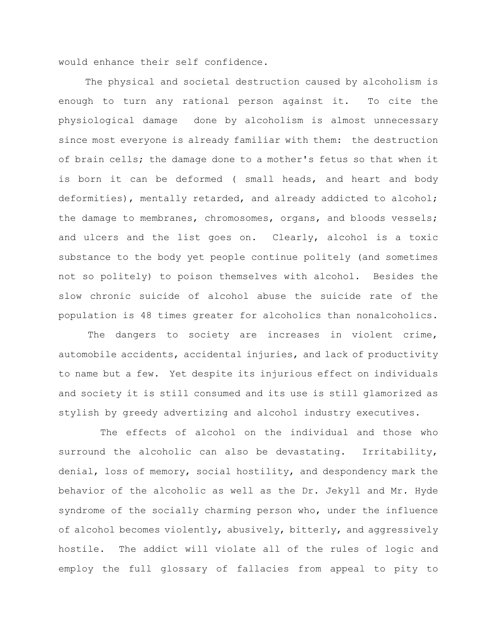would enhance their self confidence.

 The physical and societal destruction caused by alcoholism is enough to turn any rational person against it. To cite the physiological damage done by alcoholism is almost unnecessary since most everyone is already familiar with them: the destruction of brain cells; the damage done to a mother's fetus so that when it is born it can be deformed ( small heads, and heart and body deformities), mentally retarded, and already addicted to alcohol; the damage to membranes, chromosomes, organs, and bloods vessels; and ulcers and the list goes on. Clearly, alcohol is a toxic substance to the body yet people continue politely (and sometimes not so politely) to poison themselves with alcohol. Besides the slow chronic suicide of alcohol abuse the suicide rate of the population is 48 times greater for alcoholics than nonalcoholics.

The dangers to society are increases in violent crime, automobile accidents, accidental injuries, and lack of productivity to name but a few. Yet despite its injurious effect on individuals and society it is still consumed and its use is still glamorized as stylish by greedy advertizing and alcohol industry executives.

 The effects of alcohol on the individual and those who surround the alcoholic can also be devastating. Irritability, denial, loss of memory, social hostility, and despondency mark the behavior of the alcoholic as well as the Dr. Jekyll and Mr. Hyde syndrome of the socially charming person who, under the influence of alcohol becomes violently, abusively, bitterly, and aggressively hostile. The addict will violate all of the rules of logic and employ the full glossary of fallacies from appeal to pity to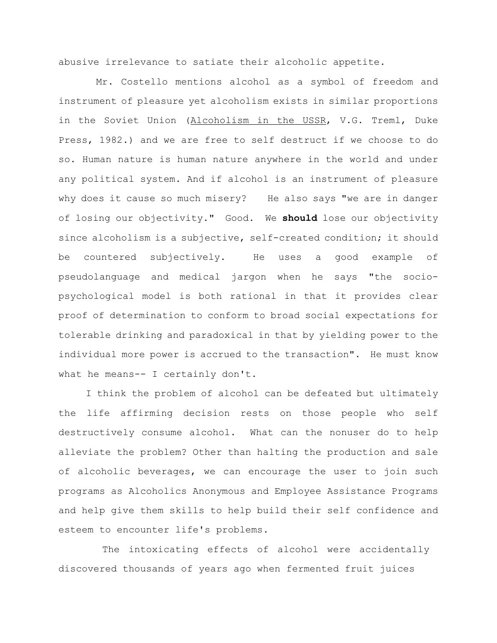abusive irrelevance to satiate their alcoholic appetite.

 Mr. Costello mentions alcohol as a symbol of freedom and instrument of pleasure yet alcoholism exists in similar proportions in the Soviet Union (Alcoholism in the USSR, V.G. Treml, Duke Press, 1982.) and we are free to self destruct if we choose to do so. Human nature is human nature anywhere in the world and under any political system. And if alcohol is an instrument of pleasure why does it cause so much misery? He also says "we are in danger of losing our objectivity." Good. We **should** lose our objectivity since alcoholism is a subjective, self-created condition; it should be countered subjectively. He uses a good example of pseudolanguage and medical jargon when he says "the sociopsychological model is both rational in that it provides clear proof of determination to conform to broad social expectations for tolerable drinking and paradoxical in that by yielding power to the individual more power is accrued to the transaction". He must know what he means-- I certainly don't.

 I think the problem of alcohol can be defeated but ultimately the life affirming decision rests on those people who self destructively consume alcohol. What can the nonuser do to help alleviate the problem? Other than halting the production and sale of alcoholic beverages, we can encourage the user to join such programs as Alcoholics Anonymous and Employee Assistance Programs and help give them skills to help build their self confidence and esteem to encounter life's problems.

 The intoxicating effects of alcohol were accidentally discovered thousands of years ago when fermented fruit juices